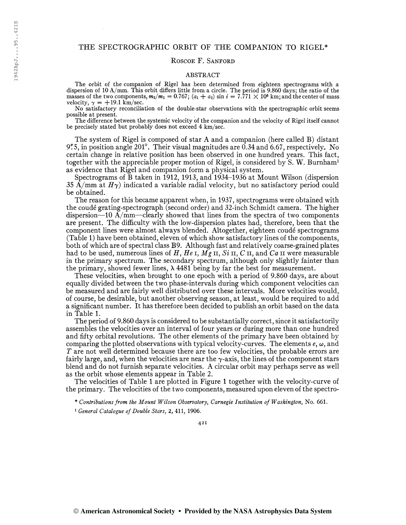# THE SPECTROGRAPHIC ORBIT OF THE COMPANION TO RIGEL\*

## ROSCOE F. SANFORD

### ABSTRACT

The orbit of the companion of Rigel has been determined from eighteen spectrograms with a dispersion of 10 A/mm. This orbit differs little from a circle. The period is 9.860 days; the ratio of the masses of the two components,  $m_2/m_1 = 0.767$ ;  $(a_1 + a_2) \sin i = 7.771 \times 10^6$  km; and the center of mass velocity,  $\gamma = +19.1$  km/sec.

No satisfactory reconcihation of the double-star observations with the spectrographic orbit seems

The difference between the systemic velocity of the companion and the velocity of Rigel itself cannot be precisely stated but probably does not exceed 4 km/sec.

The system of Rigel is composed of star A and a companion (here called B) distant 9".5, in position angle 201 $^{\circ}$ . Their visual magnitudes are 0.34 and 6.67, respectively. No certain change in relative position has been observed in one hundred years. This fact, together with the appreciable proper motion of Rigel, is considered by S. W. Burnham<sup>1</sup> as evidence that Rigel and companion form a physical system.

Spectrograms of B taken in 1912, 1913, and 1934-1936 at Mount Wilson (dispersion 35 A/mm at  $H\gamma$ ) indicated a variable radial velocity, but no satisfactory period could be obtained.

The reason for this became apparent when, in 1937, spectrograms were obtained with the coudé grating-spectrograph (second order) and 32-inch Schmidt camera. The higher dispersion—10  $\overline{A/mm}$ —clearly showed that lines from the spectra of two components are present. The difficulty with the low-dispersion plates had, therefore, been that the component lines were almost always blended. Altogether, eighteen coudé spectrograms (Table 1) have been obtained, eleven of which show satisfactory lines of the components, both of which are of spectral class B9. Although fast and relatively coarse-grained plates had to be used, numerous lines of H, He I,  $Mg$  II, Si II, C II, and Ca II were measurable in the primary spectrum. The secondary spectrum, although only slightly fainter than the primary, showed fewer lines,  $\lambda$  4481 being by far the best for measurement.

These velocities, when brought to one epoch with a period of 9.860 days, are about equally divided between the two phase-intervals during which component velocities can be measured and are fairly well distributed over these intervals. More velocities would, of course, be desirable, but another observing season, at least, would be required to add a significant number. It has therefore been decided to publish an orbit based on the data in Table 1.

The period of 9.860 days is considered to be substantially correct, since it satisfactorily assembles the velocities over an interval of four years or during more than one hundred and fifty orbital revolutions. The other elements of the primary have been obtained by comparing the plotted observations with typical velocity-curves. The elements  $e, \omega$ , and T are not well determined because there are too few velocities, the probable errors are fairly large, and, when the velocities are near the  $\gamma$ -axis, the lines of the component stars blend and do not furnish separate velocities. A circular orbit may perhaps serve as well as the orbit whose elements appear in Table 2.

The velocities of Table <sup>1</sup> are plotted in Figure <sup>1</sup> together with the velocity-curve of the primary. The velocities of the two components, measured upon eleven of the spectro-

\* Contributions from the Mount Wilson Observatory, Carnegie Institution of Washington, No. 661.

<sup>&</sup>lt;sup>1</sup> General Catalogue of Double Stars, 2, 411, 1906.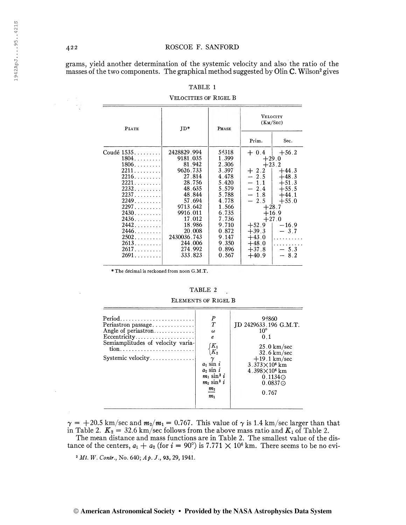grams, yield another determination of the systemic velocity and also the ratio of the masses of the two components. The graphical method suggested by Olin C. Wilson<sup>2</sup> gives

| <b>PLATE</b>                     | $JD*$              | PHASE          | VELOCITY<br>(KM/SEC) |             |
|----------------------------------|--------------------|----------------|----------------------|-------------|
|                                  |                    |                | Prim.                | Sec.        |
| Coudé 1535.                      | 2428829.994        | 54318          | $+0.4$               | $+56.2$     |
| 1804.                            | 9181.035           | 1.399          |                      | $+29.0$     |
| $1806.$                          | 81.942             | 2.306          |                      | $+23.2$     |
| 2211                             | 9626.733           | 3.397          | $+2.2$               | $+44.3$     |
| $2216. \ldots \ldots$            | 27.814             | 4.478          | $-2.5$               | $+48.3$     |
| $2221$                           | 28.756             | 5.420          | $-1.1$               | $+51.3$     |
| 2232                             | 48.635             | 5.579          | $-2.4$               | $+55.5$     |
| 2237                             | 48.844             | 5.788          | $-1.8$               | $+44.1$     |
| 2249                             | 57.694             | 4.778          | 2.5                  | $+55.0$     |
| 2297                             | 9713.642           | 1.566          | $+28.7$              |             |
| $2430 \ldots \ldots$             | 9916.011           | 6.735          | $+16.9$              |             |
| 2436.                            | 17.012             | 7.736          | $+27.0$              |             |
| 2442                             | 18.986             | 9.710          | $+52.9$              | $-16.9$     |
| 2446                             | 20.008             | 0.872          | $+39.3$              | $-3.7$      |
| 2502                             | 2430036.743        | 9.147          | $+43.0$              |             |
| $2613$ .                         | 244.006<br>274.992 | 9.350<br>0.896 | $+48.0$              | .<br>$-5.3$ |
| $2617\ldots\ldots\ldots$<br>2691 | 333.823            | 0.567          | $+37.8$<br>$+40.9$   | $-8.2$      |

TABLE 1

#### VELOCITIES OF RIGEL B

\* The decimal is reckoned from noon G.M.T.

## TABLE 2

#### $\overline{P}$ Period......................... 94860  $\cal T$ JD 2429633.196 G.M.T. Periastron passage............. Angle of periastron.............  $\boldsymbol{\omega}$  $10^{\circ}$ Eccentricity....................  $0.1$  $\boldsymbol{e}$ Semiamplitudes of velocity varia- $\mathfrak{f}K_{1}$  $25.0 \text{ km/sec}$  $\backslash K_2$ 32.6 km/sec Systemic velocity.............  $+19.1 \text{ km/sec}$  $\gamma$  $3.373\times10^{6}~{\rm km}$ <br> $4.398\times10^{6}~{\rm km}$ <br> $0.1134\times$  $a_1$  sin  $i$  $a_2 \sin i$  $m_1 \sin^3 i$  $m_2\,\sin^3\,i$  $0.0837 \odot$  $m<sub>2</sub>$ 0.767  $m<sub>1</sub>$

ELEMENTS OF RIGEL B

 $\gamma = +20.5$  km/sec and  $m_2/m_1 = 0.767$ . This value of  $\gamma$  is 1.4 km/sec larger than that in Table 2.  $K_2 = 32.6$  km/sec follows from the above mass ratio and  $K_1$  of Table 2. The mean distance and mass functions are in Table 2. The smallest value of the dis-

tance of the centers,  $a_1 + a_2$  (for  $i = 90^\circ$ ) is 7.771  $\times$  10<sup>6</sup> km. There seems to be no evi-

<sup>2</sup> Mt. W. Contr., No. 640; Ap. J., 93, 29, 1941.

422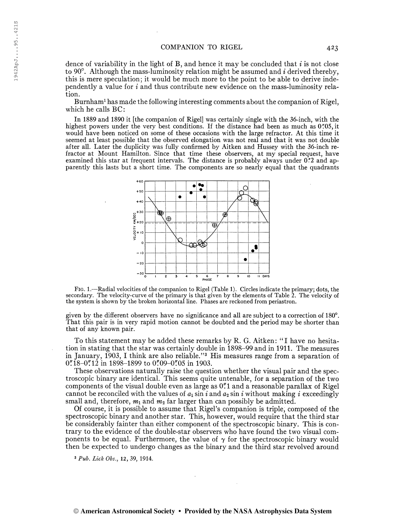dence of variability in the light of B, and hence it may be concluded that  $i$  is not close to 90 $^{\circ}$ . Although the mass-luminosity relation might be assumed and *i* derived thereby, this is mere speculation ; it would be much more to the point to be able to derive independently a value for  $i$  and thus contribute new evidence on the mass-luminosity relation.

Burnham<sup>1</sup> has made the following interesting comments about the companion of Rigel, which he calls BC:

In 1889 and 1890 it [the companion of Rigel] was certainly single with the 36-inch, with the highest powers under the very best conditions. If the distance had been as much as 0'05, it would have been noticed on some of these occasions with the large refractor. At this time it seemed at least possible that the observed elongation was not real and that it was not double after all. Later the duplicity was fully confirmed by Aitken and Hussey with the 36-inch refractor at Mount Hamilton. Since that time these observers, at my special request, have examined this star at frequent intervals. The distance is probably always under  $0^{\frac{1}{2}}$  and apparently this lasts but a short time. The components are so nearly equal that the quadrants



Fig. 1.—Radial velocities of the companion to Rigel (Table 1). Circles indicate the primary; dots, the secondary. The velocity-curve of the primary is that given by the elements of Table 2. The velocity of the system is shown by the broken horizontal line. Phases are reckoned from periastron.

given by the different observers have no significance and all are subject to a correction of 180°. That this pair is in very rapid motion cannot be doubted and the period may be shorter than that of any known pair.

To this statement may be added these remarks by R. G. Aitken: "I have no hesitation in stating that the star was certainly double in 1898-99 and in 1911. The measures in January, 1903, I think are also reliable."<sup>3</sup> His measures range from a separation of  $0''$ :18-0":12 in 1898-1899 to 0":09-0":05 in 1903.

These observations naturally raise the question whether the visual pair and the spectroscopic binary are identical. This seems quite untenable, for a separation of the two components of the visual double even as large as 0".1 and a reasonable parallax of Rigel cannot be reconciled with the values of  $a_1 \sin i$  and  $a_2 \sin i$  without making i exceedingly small and, therefore,  $m_1$  and  $m_2$  far larger than can possibly be admitted.

Of course, it is possible to assume that Rigel's companion is triple, composed of the spectroscopic binary and another star. This, however, would require that the third star be considerably fainter than either component of the spectroscopic binary. This is contrary to the evidence of the double-star observers who have found the two visual components to be equal. Furthermore, the value of  $\gamma$  for the spectroscopic binary would then be expected to undergo changes as the binary and the third star revolved around

<sup>3</sup> Pub. Lick Obs., 12, 39, 1914.